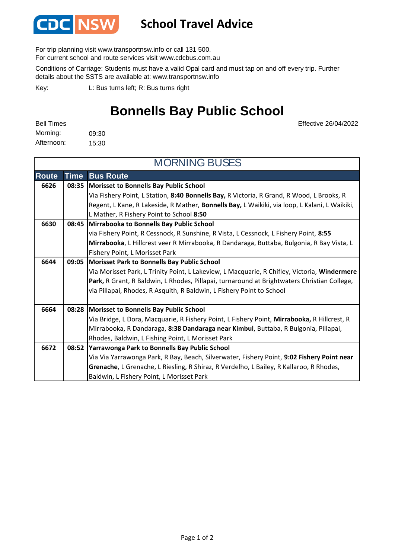

## **School Travel Advice**

For trip planning visit www.transportnsw.info or call 131 500.

For current school and route services visit www.cdcbus.com.au

Conditions of Carriage: Students must have a valid Opal card and must tap on and off every trip. Further details about the SSTS are available at: www.transportnsw.info

L: Bus turns left; R: Bus turns right Key:

## **Bonnells Bay Public School**

Effective 26/04/2022

09:30 15:30 Morning: Bell Times Afternoon:

| <b>MORNING BUSES</b> |             |                                                                                               |  |
|----------------------|-------------|-----------------------------------------------------------------------------------------------|--|
| <b>Route</b>         | <b>Time</b> | <b>Bus Route</b>                                                                              |  |
| 6626                 | 08:35       | Morisset to Bonnells Bay Public School                                                        |  |
|                      |             | Via Fishery Point, L Station, 8:40 Bonnells Bay, R Victoria, R Grand, R Wood, L Brooks, R     |  |
|                      |             | Regent, L Kane, R Lakeside, R Mather, Bonnells Bay, L Waikiki, via loop, L Kalani, L Waikiki, |  |
|                      |             | L Mather, R Fishery Point to School 8:50                                                      |  |
| 6630                 | 08:45       | Mirrabooka to Bonnells Bay Public School                                                      |  |
|                      |             | via Fishery Point, R Cessnock, R Sunshine, R Vista, L Cessnock, L Fishery Point, 8:55         |  |
|                      |             | Mirrabooka, L Hillcrest veer R Mirrabooka, R Dandaraga, Buttaba, Bulgonia, R Bay Vista, L     |  |
|                      |             | Fishery Point, L Morisset Park                                                                |  |
| 6644                 | 09:05       | <b>Morisset Park to Bonnells Bay Public School</b>                                            |  |
|                      |             | Via Morisset Park, L Trinity Point, L Lakeview, L Macquarie, R Chifley, Victoria, Windermere  |  |
|                      |             | Park, R Grant, R Baldwin, L Rhodes, Pillapai, turnaround at Brightwaters Christian College,   |  |
|                      |             | via Pillapai, Rhodes, R Asquith, R Baldwin, L Fishery Point to School                         |  |
|                      |             |                                                                                               |  |
| 6664                 | 08:28       | Morisset to Bonnells Bay Public School                                                        |  |
|                      |             | Via Bridge, L Dora, Macquarie, R Fishery Point, L Fishery Point, Mirrabooka, R Hillcrest, R   |  |
|                      |             | Mirrabooka, R Dandaraga, 8:38 Dandaraga near Kimbul, Buttaba, R Bulgonia, Pillapai,           |  |
|                      |             | Rhodes, Baldwin, L Fishing Point, L Morisset Park                                             |  |
| 6672                 |             | 08:52 Yarrawonga Park to Bonnells Bay Public School                                           |  |
|                      |             | Via Via Yarrawonga Park, R Bay, Beach, Silverwater, Fishery Point, 9:02 Fishery Point near    |  |
|                      |             | Grenache, L Grenache, L Riesling, R Shiraz, R Verdelho, L Bailey, R Kallaroo, R Rhodes,       |  |
|                      |             | Baldwin, L Fishery Point, L Morisset Park                                                     |  |